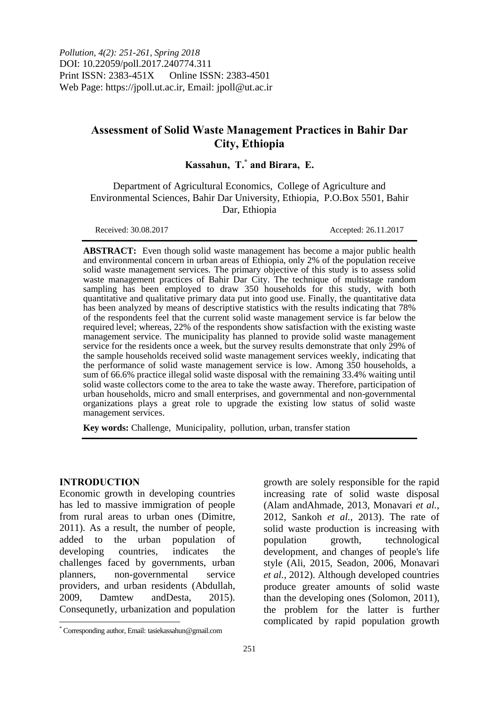# **Assessment of Solid Waste Management Practices in Bahir Dar City, Ethiopia**

## **Kassahun, T. \* and Birara, E.**

Department of Agricultural Economics, College of Agriculture and Environmental Sciences, Bahir Dar University, Ethiopia, P.O.Box 5501, Bahir Dar, Ethiopia

Received: 30.08.2017 Accepted: 26.11.2017

**ABSTRACT:** Even though solid waste management has become a major public health and environmental concern in urban areas of Ethiopia, only 2% of the population receive solid waste management services. The primary objective of this study is to assess solid waste management practices of Bahir Dar City. The technique of multistage random sampling has been employed to draw 350 households for this study, with both quantitative and qualitative primary data put into good use. Finally, the quantitative data has been analyzed by means of descriptive statistics with the results indicating that 78% of the respondents feel that the current solid waste management service is far below the required level; whereas, 22% of the respondents show satisfaction with the existing waste management service. The municipality has planned to provide solid waste management service for the residents once a week, but the survey results demonstrate that only 29% of the sample households received solid waste management services weekly, indicating that the performance of solid waste management service is low. Among 350 households, a sum of 66.6% practice illegal solid waste disposal with the remaining 33.4% waiting until solid waste collectors come to the area to take the waste away. Therefore, participation of urban households, micro and small enterprises, and governmental and non-governmental organizations plays a great role to upgrade the existing low status of solid waste management services.

**Key words:** Challenge, Municipality, pollution, urban, transfer station

#### **INTRODUCTION**

 $\overline{a}$ 

Economic growth in developing countries has led to massive immigration of people from rural areas to urban ones [\(Dimitre,](#page-10-0)  [2011\)](#page-10-0). As a result, the number of people, added to the urban population of developing countries, indicates the challenges faced by governments, urban planners, non-governmental service providers, and urban residents [\(Abdullah,](#page-9-0)  [2009,](#page-9-0) [Damtew andDesta, 2015\)](#page-10-1). Consequnetly, urbanization and population

growth are solely responsible for the rapid increasing rate of solid waste disposal [\(Alam andAhmade, 2013,](#page-9-1) [Monavari](#page-10-2) *et al.*, [2012,](#page-10-2) [Sankoh](#page-10-3) *et al.*, 2013). The rate of solid waste production is increasing with population growth, technological development, and changes of people's life style [\(Ali, 2015,](#page-9-2) [Seadon, 2006,](#page-10-4) [Monavari](#page-10-2) *et al.*[, 2012\)](#page-10-2). Although developed countries produce greater amounts of solid waste than the developing ones [\(Solomon, 2011\)](#page-10-5), the problem for the latter is further complicated by rapid population growth

<sup>\*</sup> Corresponding author, Email: tasiekassahun@gmail.com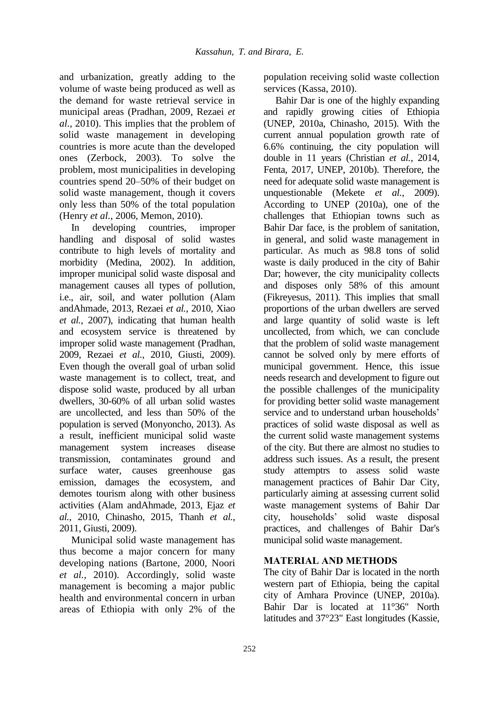and urbanization, greatly adding to the volume of waste being produced as well as the demand for waste retrieval service in municipal areas [\(Pradhan, 2009,](#page-10-6) [Rezaei](#page-10-7) *et al.*[, 2010\)](#page-10-7). This implies that the problem of solid waste management in developing countries is more acute than the developed ones [\(Zerbock, 2003\)](#page-10-8). To solve the problem, most municipalities in developing countries spend 20–50% of their budget on solid waste management, though it covers only less than 50% of the total population (Henry *et al.*[, 2006,](#page-10-9) [Memon, 2010\)](#page-10-10).

In developing countries, improper handling and disposal of solid wastes contribute to high levels of mortality and morbidity [\(Medina, 2002\)](#page-10-11). In addition, improper municipal solid waste disposal and management causes all types of pollution, i.e., air, soil, and water pollution [\(Alam](#page-9-1)  [andAhmade, 2013,](#page-9-1) [Rezaei](#page-10-7) *et al.*, 2010, [Xiao](#page-10-12) *et al.*[, 2007\)](#page-10-12), indicating that human health and ecosystem service is threatened by improper solid waste management [\(Pradhan,](#page-10-6)  [2009,](#page-10-6) Rezaei *et al.*[, 2010,](#page-10-7) [Giusti, 2009\)](#page-10-13). Even though the overall goal of urban solid waste management is to collect, treat, and dispose solid waste, produced by all urban dwellers, 30-60% of all urban solid wastes are uncollected, and less than 50% of the population is served [\(Monyoncho, 2013\)](#page-10-14). As a result, inefficient municipal solid waste management system increases disease transmission, contaminates ground and surface water, causes greenhouse gas emission, damages the ecosystem, and demotes tourism along with other business activities [\(Alam andAhmade, 2013,](#page-9-1) [Ejaz](#page-10-15) *et al.*[, 2010,](#page-10-15) [Chinasho, 2015,](#page-9-3) [Thanh](#page-10-16) *et al.*, [2011,](#page-10-16) [Giusti, 2009\)](#page-10-13).

Municipal solid waste management has thus become a major concern for many developing nations [\(Bartone, 2000,](#page-9-4) [Noori](#page-10-17) *et al.*[, 2010\)](#page-10-17). Accordingly, solid waste management is becoming a major public health and environmental concern in urban areas of Ethiopia with only 2% of the

population receiving solid waste collection services [\(Kassa, 2010\)](#page-10-18).

Bahir Dar is one of the highly expanding and rapidly growing cities of Ethiopia [\(UNEP, 2010a,](#page-10-19) [Chinasho, 2015\)](#page-9-3). With the current annual population growth rate of 6.6% continuing, the city population will double in 11 years [\(Christian](#page-9-5) *et al.*, 2014, [Fenta, 2017,](#page-10-20) [UNEP, 2010b\)](#page-10-21). Therefore, the need for adequate solid waste management is unquestionable (Mekete *et al.*[, 2009\)](#page-10-22). According to [UNEP \(2010a\)](#page-10-19), one of the challenges that Ethiopian towns such as Bahir Dar face, is the problem of sanitation, in general, and solid waste management in particular. As much as 98.8 tons of solid waste is daily produced in the city of Bahir Dar; however, the city municipality collects and disposes only 58% of this amount [\(Fikreyesus, 2011\)](#page-10-23). This implies that small proportions of the urban dwellers are served and large quantity of solid waste is left uncollected, from which, we can conclude that the problem of solid waste management cannot be solved only by mere efforts of municipal government. Hence, this issue needs research and development to figure out the possible challenges of the municipality for providing better solid waste management service and to understand urban households' practices of solid waste disposal as well as the current solid waste management systems of the city. But there are almost no studies to address such issues. As a result, the present study attemptrs to assess solid waste management practices of Bahir Dar City, particularly aiming at assessing current solid waste management systems of Bahir Dar city, households' solid waste disposal practices, and challenges of Bahir Dar's municipal solid waste management.

## **MATERIAL AND METHODS**

The city of Bahir Dar is located in the north western part of Ethiopia, being the capital city of Amhara Province [\(UNEP, 2010a\)](#page-10-19). Bahir Dar is located at 11°36" North latitudes and 37°23" East longitudes [\(Kassie,](#page-10-24)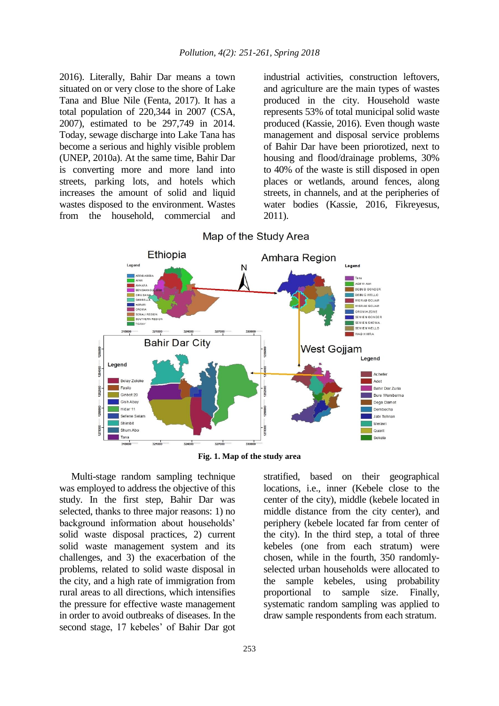[2016\)](#page-10-24). Literally, Bahir Dar means a town situated on or very close to the shore of Lake Tana and Blue Nile [\(Fenta, 2017\)](#page-10-20). It has a total population of 220,344 in 2007 [\(CSA,](#page-9-6)  [2007\)](#page-9-6), estimated to be 297,749 in 2014. Today, sewage discharge into Lake Tana has become a serious and highly visible problem [\(UNEP, 2010a\)](#page-10-19). At the same time, Bahir Dar is converting more and more land into streets, parking lots, and hotels which increases the amount of solid and liquid wastes disposed to the environment. Wastes from the household, commercial and

industrial activities, construction leftovers, and agriculture are the main types of wastes produced in the city. Household waste represents 53% of total municipal solid waste produced [\(Kassie, 2016\)](#page-10-24). Even though waste management and disposal service problems of Bahir Dar have been priorotized, next to housing and flood/drainage problems, 30% to 40% of the waste is still disposed in open places or wetlands, around fences, along streets, in channels, and at the peripheries of water bodies [\(Kassie, 2016,](#page-10-24) [Fikreyesus,](#page-10-23)  [2011\)](#page-10-23).





**Fig. 1. Map of the study area**

Multi-stage random sampling technique was employed to address the objective of this study. In the first step, Bahir Dar was selected, thanks to three major reasons: 1) no background information about households' solid waste disposal practices, 2) current solid waste management system and its challenges, and 3) the exacerbation of the problems, related to solid waste disposal in the city, and a high rate of immigration from rural areas to all directions, which intensifies the pressure for effective waste management in order to avoid outbreaks of diseases. In the second stage, 17 kebeles' of Bahir Dar got

253

stratified, based on their geographical locations, i.e., inner (Kebele close to the center of the city), middle (kebele located in middle distance from the city center), and periphery (kebele located far from center of the city). In the third step, a total of three kebeles (one from each stratum) were chosen, while in the fourth, 350 randomlyselected urban households were allocated to the sample kebeles, using probability proportional to sample size. Finally, systematic random sampling was applied to draw sample respondents from each stratum.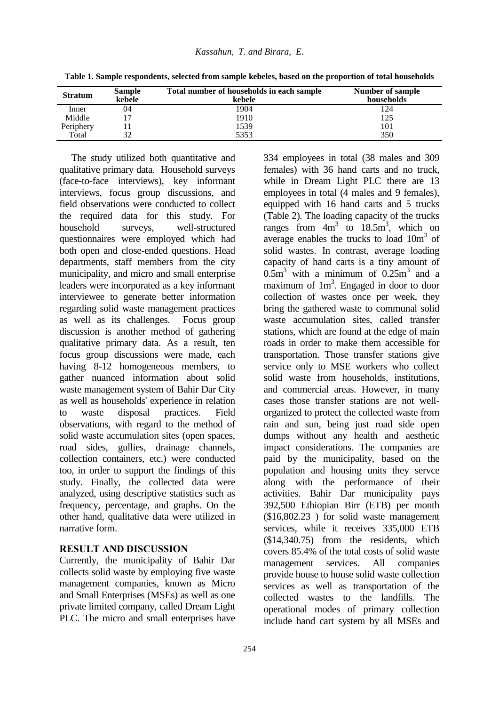| <b>Stratum</b> | <b>Sample</b><br>kebele | Total number of households in each sample<br>kebele | Number of sample<br>households |  |  |
|----------------|-------------------------|-----------------------------------------------------|--------------------------------|--|--|
| Inner          | 04                      | 1904                                                | 124                            |  |  |
| Middle         |                         | 1910                                                | 125                            |  |  |
| Periphery      |                         | 1539                                                | 101                            |  |  |
| Total          | 32                      | 5353                                                | 350                            |  |  |

**Table 1. Sample respondents, selected from sample kebeles, based on the proportion of total households**

The study utilized both quantitative and qualitative primary data. Household surveys (face-to-face interviews), key informant interviews, focus group discussions, and field observations were conducted to collect the required data for this study. For household surveys, well-structured questionnaires were employed which had both open and close-ended questions. Head departments, staff members from the city municipality, and micro and small enterprise leaders were incorporated as a key informant interviewee to generate better information regarding solid waste management practices as well as its challenges. Focus group discussion is another method of gathering qualitative primary data. As a result, ten focus group discussions were made, each having 8-12 homogeneous members, to gather nuanced information about solid waste management system of Bahir Dar City as well as households' experience in relation to waste disposal practices. Field observations, with regard to the method of solid waste accumulation sites (open spaces, road sides, gullies, drainage channels, collection containers, etc.) were conducted too, in order to support the findings of this study. Finally, the collected data were analyzed, using descriptive statistics such as frequency, percentage, and graphs. On the other hand, qualitative data were utilized in narrative form.

### **RESULT AND DISCUSSION**

Currently, the municipality of Bahir Dar collects solid waste by employing five waste management companies, known as Micro and Small Enterprises (MSEs) as well as one private limited company, called Dream Light PLC. The micro and small enterprises have

334 employees in total (38 males and 309 females) with 36 hand carts and no truck, while in Dream Light PLC there are 13 employees in total (4 males and 9 females), equipped with 16 hand carts and 5 trucks (Table 2). The loading capacity of the trucks ranges from  $4m^3$  to  $18.5m^3$ , which on average enables the trucks to load  $10m<sup>3</sup>$  of solid wastes. In contrast, average loading capacity of hand carts is a tiny amount of  $0.5m<sup>3</sup>$  with a minimum of  $0.25m<sup>3</sup>$  and a maximum of  $1m<sup>3</sup>$ . Engaged in door to door collection of wastes once per week, they bring the gathered waste to communal solid waste accumulation sites, called transfer stations, which are found at the edge of main roads in order to make them accessible for transportation. Those transfer stations give service only to MSE workers who collect solid waste from households, institutions, and commercial areas. However, in many cases those transfer stations are not wellorganized to protect the collected waste from rain and sun, being just road side open dumps without any health and aesthetic impact considerations. The companies are paid by the municipality, based on the population and housing units they servce along with the performance of their activities. Bahir Dar municipality pays 392,500 Ethiopian Birr (ETB) per month (\$16,802.23 ) for solid waste management services, while it receives 335,000 ETB (\$14,340.75) from the residents, which covers 85.4% of the total costs of solid waste management services. All companies provide house to house solid waste collection services as well as transportation of the collected wastes to the landfills. The operational modes of primary collection include hand cart system by all MSEs and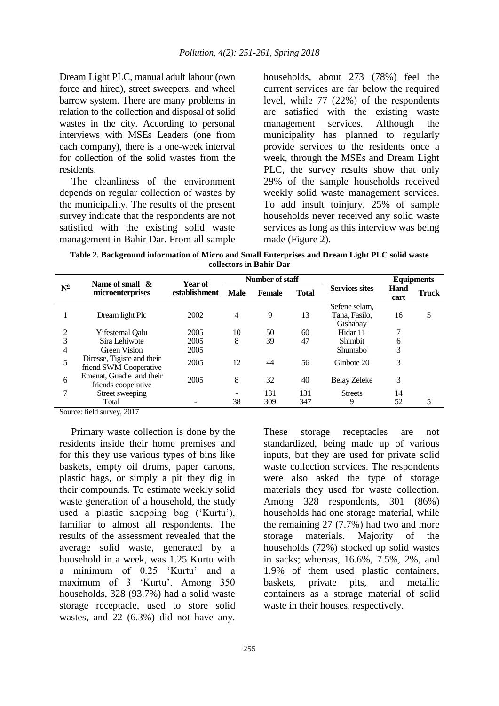Dream Light PLC, manual adult labour (own force and hired), street sweepers, and wheel barrow system. There are many problems in relation to the collection and disposal of solid wastes in the city. According to personal interviews with MSEs Leaders (one from each company), there is a one-week interval for collection of the solid wastes from the residents.

The cleanliness of the environment depends on regular collection of wastes by the municipality. The results of the present survey indicate that the respondents are not satisfied with the existing solid waste management in Bahir Dar. From all sample

households, about 273 (78%) feel the current services are far below the required level, while 77 (22%) of the respondents are satisfied with the existing waste management services. Although the municipality has planned to regularly provide services to the residents once a week, through the MSEs and Dream Light PLC, the survey results show that only 29% of the sample households received weekly solid waste management services. To add insult toinjury, 25% of sample households never received any solid waste services as long as this interview was being made (Figure 2).

**Table 2. Background information of Micro and Small Enterprises and Dream Light PLC solid waste collectors in Bahir Dar**

|             | Name of small $\alpha$                               | Year of<br>establishment | Number of staff |               |              |                                            | <b>Equipments</b> |              |
|-------------|------------------------------------------------------|--------------------------|-----------------|---------------|--------------|--------------------------------------------|-------------------|--------------|
| $N^{\circ}$ | microenterprises                                     |                          | <b>Male</b>     | <b>Female</b> | <b>Total</b> | <b>Services sites</b>                      | Hand<br>cart      | <b>Truck</b> |
|             | Dream light Plc                                      | 2002                     | $\overline{4}$  | 9             | 13           | Sefene selam,<br>Tana, Fasilo,<br>Gishabay | 16                | 5            |
| 2           | Yifestemal Oalu                                      | 2005                     | 10              | 50            | 60           | Hidar 11                                   | 7                 |              |
| 3           | Sira Lehiwote                                        | 2005                     | 8               | 39            | 47           | Shimbit                                    | 6                 |              |
| 4           | <b>Green Vision</b>                                  | 2005                     |                 |               |              | <b>Shumabo</b>                             | 3                 |              |
| 5           | Diresse, Tigiste and their<br>friend SWM Cooperative | 2005                     | 12              | 44            | 56           | Ginbote 20                                 | 3                 |              |
| 6           | Emenat, Guadie and their<br>friends cooperative      | 2005                     | 8               | 32            | 40           | <b>Belay Zeleke</b>                        | 3                 |              |
|             | Street sweeping                                      |                          |                 | 131           | 131          | <b>Streets</b>                             | 14                |              |
|             | Total                                                |                          | 38              | 309           | 347          | 9                                          | 52                | 5            |

Source: field survey, 2017

Primary waste collection is done by the residents inside their home premises and for this they use various types of bins like baskets, empty oil drums, paper cartons, plastic bags, or simply a pit they dig in their compounds. To estimate weekly solid waste generation of a household, the study used a plastic shopping bag ('Kurtu'), familiar to almost all respondents. The results of the assessment revealed that the average solid waste, generated by a household in a week, was 1.25 Kurtu with a minimum of 0.25 'Kurtu' and a maximum of 3 'Kurtu'. Among 350 households, 328 (93.7%) had a solid waste storage receptacle, used to store solid wastes, and 22 (6.3%) did not have any.

These storage receptacles are not standardized, being made up of various inputs, but they are used for private solid waste collection services. The respondents were also asked the type of storage materials they used for waste collection. Among 328 respondents, 301 (86%) households had one storage material, while the remaining 27 (7.7%) had two and more storage materials. Majority of the households (72%) stocked up solid wastes in sacks; whereas, 16.6%, 7.5%, 2%, and 1.9% of them used plastic containers, baskets, private pits, and metallic containers as a storage material of solid waste in their houses, respectively.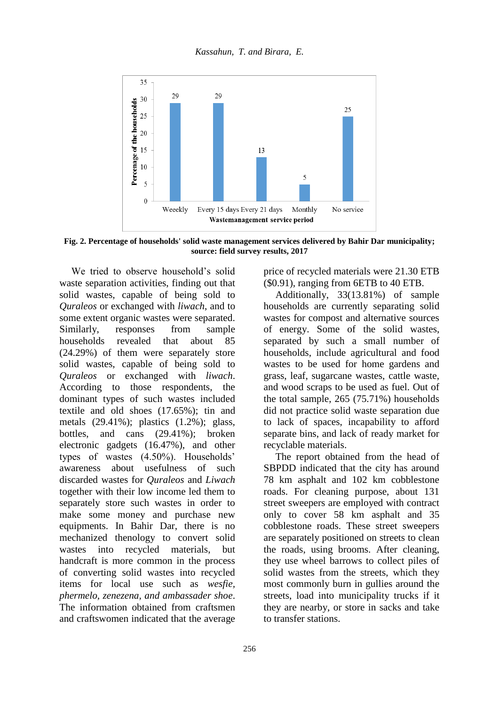

**Fig. 2. Percentage of households' solid waste management services delivered by Bahir Dar municipality; source: field survey results, 2017**

We tried to observe household's solid waste separation activities, finding out that solid wastes, capable of being sold to *Quraleos* or exchanged with *liwach*, and to some extent organic wastes were separated. Similarly, responses from sample households revealed that about 85 (24.29%) of them were separately store solid wastes, capable of being sold to *Quraleos* or exchanged with *liwach*. According to those respondents, the dominant types of such wastes included textile and old shoes (17.65%); tin and metals (29.41%); plastics (1.2%); glass, bottles, and cans (29.41%); broken electronic gadgets (16.47%), and other types of wastes (4.50%). Households' awareness about usefulness of such discarded wastes for *Quraleos* and *Liwach* together with their low income led them to separately store such wastes in order to make some money and purchase new equipments. In Bahir Dar, there is no mechanized thenology to convert solid wastes into recycled materials, but handcraft is more common in the process of converting solid wastes into recycled items for local use such as *wesfie, phermelo, zenezena, and ambassader shoe*. The information obtained from craftsmen and craftswomen indicated that the average

price of recycled materials were 21.30 ETB (\$0.91), ranging from 6ETB to 40 ETB.

Additionally, 33(13.81%) of sample households are currently separating solid wastes for compost and alternative sources of energy. Some of the solid wastes, separated by such a small number of households, include agricultural and food wastes to be used for home gardens and grass, leaf, sugarcane wastes, cattle waste, and wood scraps to be used as fuel. Out of the total sample, 265 (75.71%) households did not practice solid waste separation due to lack of spaces, incapability to afford separate bins, and lack of ready market for recyclable materials.

The report obtained from the head of SBPDD indicated that the city has around 78 km asphalt and 102 km cobblestone roads. For cleaning purpose, about 131 street sweepers are employed with contract only to cover 58 km asphalt and 35 cobblestone roads. These street sweepers are separately positioned on streets to clean the roads, using brooms. After cleaning, they use wheel barrows to collect piles of solid wastes from the streets, which they most commonly burn in gullies around the streets, load into municipality trucks if it they are nearby, or store in sacks and take to transfer stations.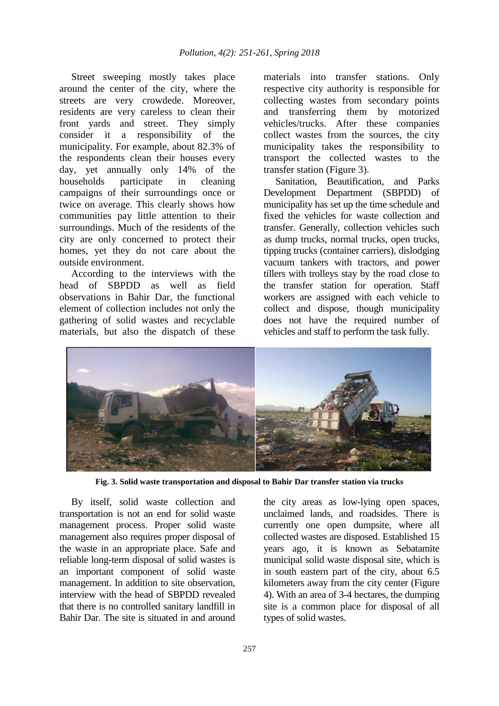Street sweeping mostly takes place around the center of the city, where the streets are very crowdede. Moreover, residents are very careless to clean their front yards and street. They simply consider it a responsibility of the municipality. For example, about 82.3% of the respondents clean their houses every day, yet annually only 14% of the households participate in cleaning campaigns of their surroundings once or twice on average. This clearly shows how communities pay little attention to their surroundings. Much of the residents of the city are only concerned to protect their homes, yet they do not care about the outside environment.

According to the interviews with the head of SBPDD as well as field observations in Bahir Dar, the functional element of collection includes not only the gathering of solid wastes and recyclable materials, but also the dispatch of these

materials into transfer stations. Only respective city authority is responsible for collecting wastes from secondary points and transferring them by motorized vehicles/trucks. After these companies collect wastes from the sources, the city municipality takes the responsibility to transport the collected wastes to the transfer station (Figure 3).

Sanitation, Beautification, and Parks Development Department (SBPDD) of municipality has set up the time schedule and fixed the vehicles for waste collection and transfer. Generally, collection vehicles such as dump trucks, normal trucks, open trucks, tipping trucks (container carriers), dislodging vacuum tankers with tractors, and power tillers with trolleys stay by the road close to the transfer station for operation. Staff workers are assigned with each vehicle to collect and dispose, though municipality does not have the required number of vehicles and staff to perform the task fully.



**Fig. 3. Solid waste transportation and disposal to Bahir Dar transfer station via trucks**

By itself, solid waste collection and transportation is not an end for solid waste management process. Proper solid waste management also requires proper disposal of the waste in an appropriate place. Safe and reliable long-term disposal of solid wastes is an important component of solid waste management. In addition to site observation, interview with the head of SBPDD revealed that there is no controlled sanitary landfill in Bahir Dar. The site is situated in and around

the city areas as low-lying open spaces, unclaimed lands, and roadsides. There is currently one open dumpsite, where all collected wastes are disposed. Established 15 years ago, it is known as Sebatamite municipal solid waste disposal site, which is in south eastern part of the city, about 6.5 kilometers away from the city center (Figure 4). With an area of 3-4 hectares, the dumping site is a common place for disposal of all types of solid wastes.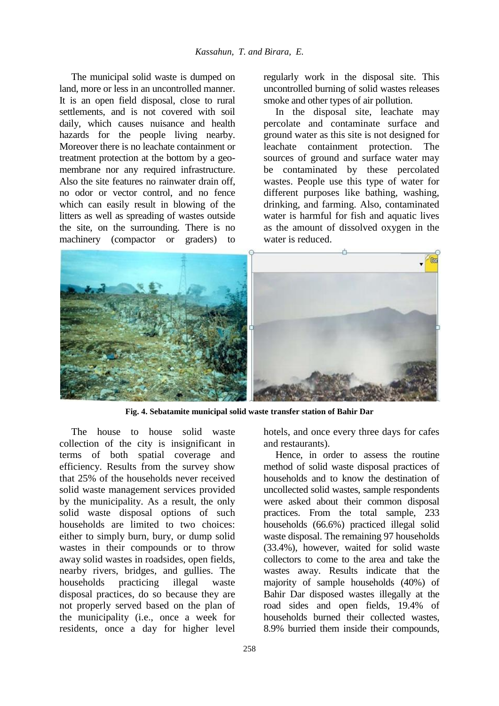The municipal solid waste is dumped on land, more or less in an uncontrolled manner. It is an open field disposal, close to rural settlements, and is not covered with soil daily, which causes nuisance and health hazards for the people living nearby. Moreover there is no leachate containment or treatment protection at the bottom by a geomembrane nor any required infrastructure. Also the site features no rainwater drain off, no odor or vector control, and no fence which can easily result in blowing of the litters as well as spreading of wastes outside the site, on the surrounding. There is no machinery (compactor or graders) to

regularly work in the disposal site. This uncontrolled burning of solid wastes releases smoke and other types of air pollution.

In the disposal site, leachate may percolate and contaminate surface and ground water as this site is not designed for leachate containment protection. The sources of ground and surface water may be contaminated by these percolated wastes. People use this type of water for different purposes like bathing, washing, drinking, and farming. Also, contaminated water is harmful for fish and aquatic lives as the amount of dissolved oxygen in the water is reduced.



**Fig. 4. Sebatamite municipal solid waste transfer station of Bahir Dar**

The house to house solid waste collection of the city is insignificant in terms of both spatial coverage and efficiency. Results from the survey show that 25% of the households never received solid waste management services provided by the municipality. As a result, the only solid waste disposal options of such households are limited to two choices: either to simply burn, bury, or dump solid wastes in their compounds or to throw away solid wastes in roadsides, open fields, nearby rivers, bridges, and gullies. The households practicing illegal waste disposal practices, do so because they are not properly served based on the plan of the municipality (i.e., once a week for residents, once a day for higher level

hotels, and once every three days for cafes and restaurants).

Hence, in order to assess the routine method of solid waste disposal practices of households and to know the destination of uncollected solid wastes, sample respondents were asked about their common disposal practices. From the total sample, 233 households (66.6%) practiced illegal solid waste disposal. The remaining 97 households (33.4%), however, waited for solid waste collectors to come to the area and take the wastes away. Results indicate that the majority of sample households (40%) of Bahir Dar disposed wastes illegally at the road sides and open fields, 19.4% of households burned their collected wastes, 8.9% burried them inside their compounds,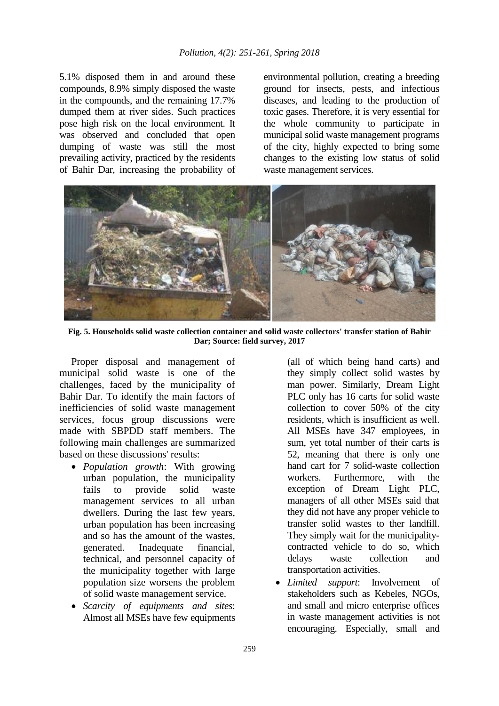5.1% disposed them in and around these compounds, 8.9% simply disposed the waste in the compounds, and the remaining 17.7% dumped them at river sides. Such practices pose high risk on the local environment. It was observed and concluded that open dumping of waste was still the most prevailing activity, practiced by the residents of Bahir Dar, increasing the probability of

environmental pollution, creating a breeding ground for insects, pests, and infectious diseases, and leading to the production of toxic gases. Therefore, it is very essential for the whole community to participate in municipal solid waste management programs of the city, highly expected to bring some changes to the existing low status of solid waste management services.



**Fig. 5. Households solid waste collection container and solid waste collectors' transfer station of Bahir Dar; Source: field survey, 2017**

Proper disposal and management of municipal solid waste is one of the challenges, faced by the municipality of Bahir Dar. To identify the main factors of inefficiencies of solid waste management services, focus group discussions were made with SBPDD staff members. The following main challenges are summarized based on these discussions' results:

- *Population growth*: With growing urban population, the municipality fails to provide solid waste management services to all urban dwellers. During the last few years, urban population has been increasing and so has the amount of the wastes, generated. Inadequate financial, technical, and personnel capacity of the municipality together with large population size worsens the problem of solid waste management service.
- *Scarcity of equipments and sites*: Almost all MSEs have few equipments

(all of which being hand carts) and they simply collect solid wastes by man power. Similarly, Dream Light PLC only has 16 carts for solid waste collection to cover 50% of the city residents, which is insufficient as well. All MSEs have 347 employees, in sum, yet total number of their carts is 52, meaning that there is only one hand cart for 7 solid-waste collection workers. Furthermore, with the exception of Dream Light PLC, managers of all other MSEs said that they did not have any proper vehicle to transfer solid wastes to ther landfill. They simply wait for the municipalitycontracted vehicle to do so, which delays waste collection and transportation activities.

 *Limited support*: Involvement of stakeholders such as Kebeles, NGOs, and small and micro enterprise offices in waste management activities is not encouraging. Especially, small and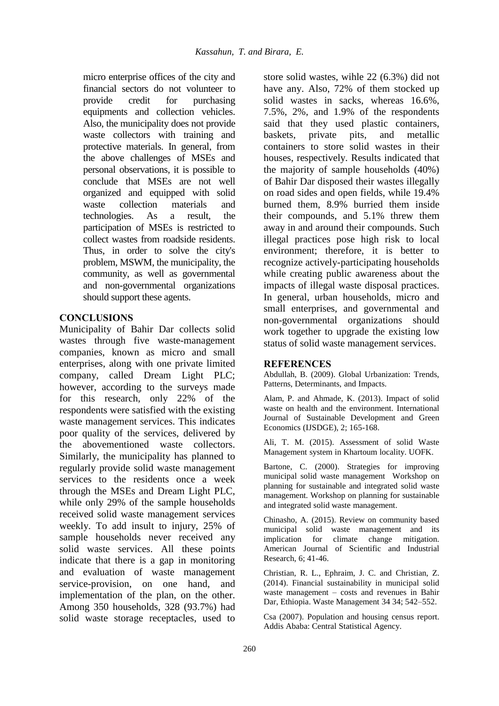micro enterprise offices of the city and financial sectors do not volunteer to provide credit for purchasing equipments and collection vehicles. Also, the municipality does not provide waste collectors with training and protective materials. In general, from the above challenges of MSEs and personal observations, it is possible to conclude that MSEs are not well organized and equipped with solid waste collection materials and technologies. As a result, the participation of MSEs is restricted to collect wastes from roadside residents. Thus, in order to solve the city's problem, MSWM, the municipality, the community, as well as governmental and non-governmental organizations should support these agents.

## **CONCLUSIONS**

Municipality of Bahir Dar collects solid wastes through five waste-management companies, known as micro and small enterprises, along with one private limited company, called Dream Light PLC; however, according to the surveys made for this research, only 22% of the respondents were satisfied with the existing waste management services. This indicates poor quality of the services, delivered by the abovementioned waste collectors. Similarly, the municipality has planned to regularly provide solid waste management services to the residents once a week through the MSEs and Dream Light PLC, while only 29% of the sample households received solid waste management services weekly. To add insult to injury, 25% of sample households never received any solid waste services. All these points indicate that there is a gap in monitoring and evaluation of waste management service-provision, on one hand, and implementation of the plan, on the other. Among 350 households, 328 (93.7%) had solid waste storage receptacles, used to

store solid wastes, wihle 22 (6.3%) did not have any. Also, 72% of them stocked up solid wastes in sacks, whereas 16.6%, 7.5%, 2%, and 1.9% of the respondents said that they used plastic containers, baskets, private pits, and metallic containers to store solid wastes in their houses, respectively. Results indicated that the majority of sample households (40%) of Bahir Dar disposed their wastes illegally on road sides and open fields, while 19.4% burned them, 8.9% burried them inside their compounds, and 5.1% threw them away in and around their compounds. Such illegal practices pose high risk to local environment; therefore, it is better to recognize actively-participating households while creating public awareness about the impacts of illegal waste disposal practices. In general, urban households, micro and small enterprises, and governmental and non-governmental organizations should work together to upgrade the existing low status of solid waste management services.

#### **REFERENCES**

<span id="page-9-0"></span>Abdullah, B. (2009). Global Urbanization: Trends, Patterns, Determinants, and Impacts.

<span id="page-9-1"></span>Alam, P. and Ahmade, K. (2013). Impact of solid waste on health and the environment. International Journal of Sustainable Development and Green Economics (IJSDGE), 2; 165-168.

<span id="page-9-2"></span>Ali, T. M. (2015). Assessment of solid Waste Management system in Khartoum locality. UOFK.

<span id="page-9-4"></span>Bartone, C. (2000). Strategies for improving municipal solid waste management Workshop on planning for sustainable and integrated solid waste management. Workshop on planning for sustainable and integrated solid waste management.

<span id="page-9-3"></span>Chinasho, A. (2015). Review on community based municipal solid waste management and its implication for climate change mitigation. American Journal of Scientific and Industrial Research, 6; 41-46.

<span id="page-9-5"></span>Christian, R. L., Ephraim, J. C. and Christian, Z. (2014). Financial sustainability in municipal solid waste management – costs and revenues in Bahir Dar, Ethiopia. Waste Management 34 34; 542–552.

<span id="page-9-6"></span>Csa (2007). Population and housing census report. Addis Ababa: Central Statistical Agency.